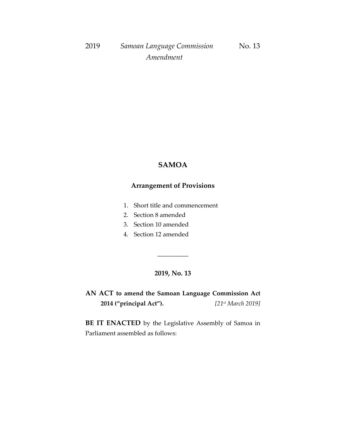## **SAMOA**

## **Arrangement of Provisions**

- 1. Short title and commencement
- 2. Section 8 amended
- 3. Section 10 amended
- 4. Section 12 amended

### **2019, No. 13**

\_\_\_\_\_\_\_\_\_\_

**AN ACT to amend the Samoan Language Commission Act 2014 ("principal Act").** *[21 st March 2019]*

**BE IT ENACTED** by the Legislative Assembly of Samoa in Parliament assembled as follows: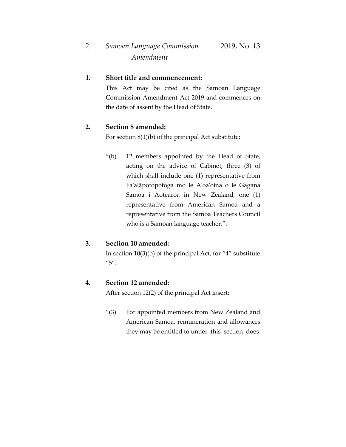#### **1. Short title and commencement:**

This Act may be cited as the Samoan Language Commission Amendment Act 2019 and commences on the date of assent by the Head of State.

#### **2. Section 8 amended:**

For section 8(1)(b) of the principal Act substitute:

"(b) 12 members appointed by the Head of State, acting on the advice of Cabinet, three (3) of which shall include one (1) representative from Fa'alāpotopotoga mo le A'oa'oina o le Gagana Samoa i Aotearoa in New Zealand, one (1) representative from American Samoa and a representative from the Samoa Teachers Council who is a Samoan language teacher.".

#### **3. Section 10 amended:**

In section 10(3)(b) of the principal Act, for "4" substitute "5".

#### **4. Section 12 amended:**

After section 12(2) of the principal Act insert:

"(3) For appointed members from New Zealand and American Samoa, remuneration and allowances they may be entitled to under this section does